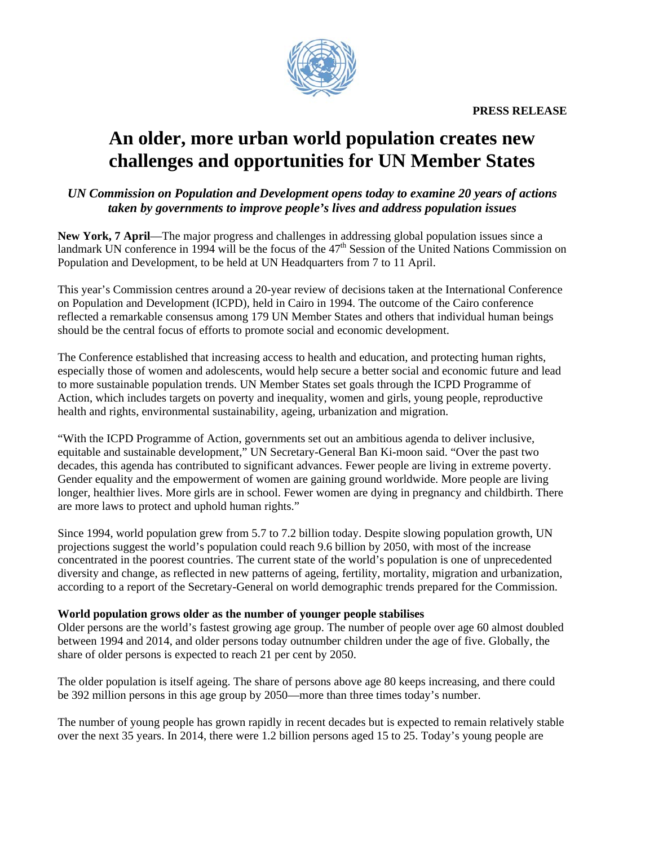**PRESS RELEASE** 



# **An older, more urban world population creates new challenges and opportunities for UN Member States**

# *UN Commission on Population and Development opens today to examine 20 years of actions taken by governments to improve people's lives and address population issues*

**New York, 7 April**—The major progress and challenges in addressing global population issues since a landmark UN conference in 1994 will be the focus of the 47<sup>th</sup> Session of the United Nations Commission on Population and Development, to be held at UN Headquarters from 7 to 11 April.

This year's Commission centres around a 20-year review of decisions taken at the International Conference on Population and Development (ICPD), held in Cairo in 1994. The outcome of the Cairo conference reflected a remarkable consensus among 179 UN Member States and others that individual human beings should be the central focus of efforts to promote social and economic development.

The Conference established that increasing access to health and education, and protecting human rights, especially those of women and adolescents, would help secure a better social and economic future and lead to more sustainable population trends. UN Member States set goals through the ICPD Programme of Action, which includes targets on poverty and inequality, women and girls, young people, reproductive health and rights, environmental sustainability, ageing, urbanization and migration.

"With the ICPD Programme of Action, governments set out an ambitious agenda to deliver inclusive, equitable and sustainable development," UN Secretary-General Ban Ki-moon said. "Over the past two decades, this agenda has contributed to significant advances. Fewer people are living in extreme poverty. Gender equality and the empowerment of women are gaining ground worldwide. More people are living longer, healthier lives. More girls are in school. Fewer women are dying in pregnancy and childbirth. There are more laws to protect and uphold human rights."

Since 1994, world population grew from 5.7 to 7.2 billion today. Despite slowing population growth, UN projections suggest the world's population could reach 9.6 billion by 2050, with most of the increase concentrated in the poorest countries. The current state of the world's population is one of unprecedented diversity and change, as reflected in new patterns of ageing, fertility, mortality, migration and urbanization, according to a report of the Secretary-General on world demographic trends prepared for the Commission.

# **World population grows older as the number of younger people stabilises**

Older persons are the world's fastest growing age group. The number of people over age 60 almost doubled between 1994 and 2014, and older persons today outnumber children under the age of five. Globally, the share of older persons is expected to reach 21 per cent by 2050.

The older population is itself ageing. The share of persons above age 80 keeps increasing, and there could be 392 million persons in this age group by 2050—more than three times today's number.

The number of young people has grown rapidly in recent decades but is expected to remain relatively stable over the next 35 years. In 2014, there were 1.2 billion persons aged 15 to 25. Today's young people are